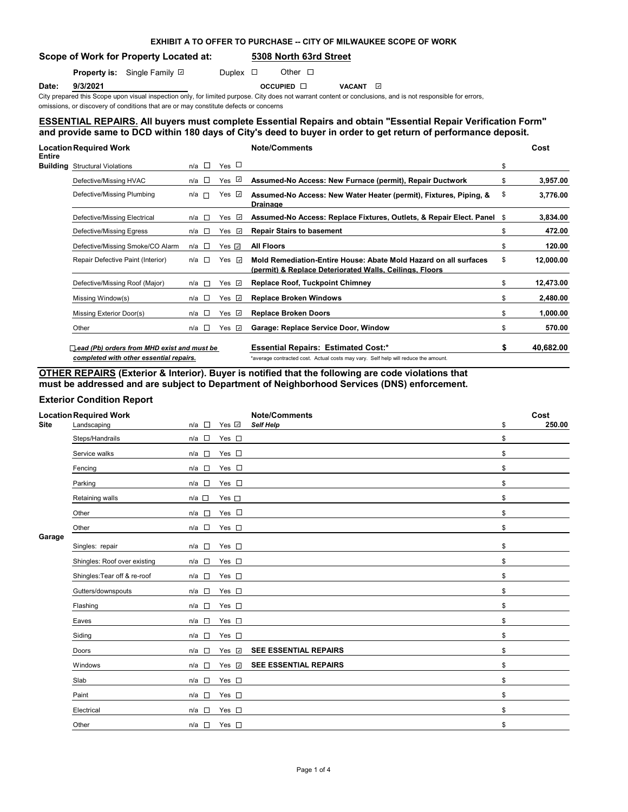# **EXHIBIT A TO OFFER TO PURCHASE -- CITY OF MILWAUKEE SCOPE OF WORK**

## **Scope of Work for Property Located at: 5308 North 63rd Street**

**Property is:** Single Family **D** Duplex **D** Other D

**Date: 9/3/2021 OCCUPIED D** VACANT

City prepared this Scope upon visual inspection only, for limited purpose. City does not warrant content or conclusions, and is not responsible for errors, omissions, or discovery of conditions that are or may constitute defects or concerns

# **ESSENTIAL REPAIRS. All buyers must complete Essential Repairs and obtain "Essential Repair Verification Form" and provide same to DCD within 180 days of City's deed to buyer in order to get return of performance deposit.**

| <b>Entire</b> | <b>Location Required Work</b>               |              |                   |                      | <b>Note/Comments</b>                                                                                                        |    | Cost      |
|---------------|---------------------------------------------|--------------|-------------------|----------------------|-----------------------------------------------------------------------------------------------------------------------------|----|-----------|
|               | <b>Building</b> Structural Violations       | n/a          | $\Box$            | Yes $\Box$           |                                                                                                                             | \$ |           |
|               | Defective/Missing HVAC                      | n/a          | <b>CONTRACTOR</b> | $\mathcal{A}$<br>Yes | Assumed-No Access: New Furnace (permit), Repair Ductwork                                                                    | \$ | 3,957.00  |
|               | Defective/Missing Plumbing                  | $n/a$ $\Box$ |                   | Yes ⊡                | Assumed-No Access: New Water Heater (permit), Fixtures, Piping, &<br><b>Drainage</b>                                        | \$ | 3,776.00  |
|               | Defective/Missing Electrical                | n/a          | <b>TO</b>         | Yes ⊡                | Assumed-No Access: Replace Fixtures, Outlets, & Repair Elect. Panel                                                         | -S | 3,834.00  |
|               | Defective/Missing Egress                    | n/a □        |                   | $\omega$<br>Yes      | <b>Repair Stairs to basement</b>                                                                                            | \$ | 472.00    |
|               | Defective/Missing Smoke/CO Alarm            | n/a l⊟       |                   | Yes ⊡                | <b>All Floors</b>                                                                                                           | \$ | 120.00    |
|               | Repair Defective Paint (Interior)           | n/a          | $\sim$            | Yes ⊡                | Mold Remediation-Entire House: Abate Mold Hazard on all surfaces<br>(permit) & Replace Deteriorated Walls, Ceilings, Floors | \$ | 12,000.00 |
|               | Defective/Missing Roof (Major)              | n/a          | <b>Talent</b>     | Yes ⊡                | <b>Replace Roof, Tuckpoint Chimney</b>                                                                                      | \$ | 12,473.00 |
|               | Missing Window(s)                           | n/a          | <b>TO</b>         | Yes $\sqrt{2}$       | <b>Replace Broken Windows</b>                                                                                               | \$ | 2,480.00  |
|               | Missing Exterior Door(s)                    | n/a          | <b>IS</b>         | Yes ⊡                | <b>Replace Broken Doors</b>                                                                                                 | \$ | 1,000.00  |
|               | Other                                       | n/a          | <b>IS</b>         | Yes ⊡                | Garage: Replace Service Door, Window                                                                                        | \$ | 570.00    |
|               | Lead (Pb) orders from MHD exist and must be |              |                   |                      | <b>Essential Repairs: Estimated Cost:*</b>                                                                                  | \$ | 40,682.00 |
|               | completed with other essential repairs.     |              |                   |                      | *average contracted cost. Actual costs may vary. Self help will reduce the amount.                                          |    |           |

**OTHER REPAIRS (Exterior & Interior). Buyer is notified that the following are code violations that must be addressed and are subject to Department of Neighborhood Services (DNS) enforcement.**

## **Exterior Condition Report**

|             | <b>Location Required Work</b> |                                 |               | <b>Note/Comments</b>         | Cost         |
|-------------|-------------------------------|---------------------------------|---------------|------------------------------|--------------|
| <b>Site</b> | Landscaping                   | $\sim$<br>n/a                   | Yes <b>D</b>  | Self Help                    | \$<br>250.00 |
|             | Steps/Handrails               | $n/a$ $\square$                 | Yes $\square$ |                              | \$           |
|             | Service walks                 | n/a                             | Yes $\square$ |                              | \$           |
|             | Fencing                       | $n/a$ $\square$                 | Yes $\square$ |                              | \$           |
|             | Parking                       | $n/a$ $\square$                 | Yes $\square$ |                              | \$           |
|             | Retaining walls               | n/a                             | Yes $\square$ |                              | \$           |
|             | Other                         | n/a<br>$\overline{a}$           | Yes $\square$ |                              | \$           |
|             | Other                         | $n/a$ $\square$                 | Yes $\square$ |                              | \$           |
| Garage      |                               |                                 |               |                              |              |
|             | Singles: repair               | $n/a$ $\square$                 | Yes $\square$ |                              | \$           |
|             | Shingles: Roof over existing  | n/a                             | Yes $\square$ |                              | \$           |
|             | Shingles: Tear off & re-roof  | n/a                             | Yes $\square$ |                              | \$           |
|             | Gutters/downspouts            | $n/a$ $\square$                 | Yes $\square$ |                              | \$           |
|             | Flashing                      | $n/a$ $\square$                 | Yes $\square$ |                              | \$           |
|             | Eaves                         | n/a<br>$\sim$                   | Yes $\square$ |                              | \$           |
|             | Siding                        | $\sim$<br>n/a                   | Yes $\square$ |                              | \$           |
|             | Doors                         | $\overline{\phantom{a}}$<br>n/a | Yes $\vee$    | <b>SEE ESSENTIAL REPAIRS</b> | \$           |
|             | Windows                       | $n/a$ $\square$                 | Yes <b>v</b>  | <b>SEE ESSENTIAL REPAIRS</b> | \$           |
|             | Slab                          | $n/a$ $\square$                 | Yes $\square$ |                              | \$           |
|             | Paint                         | $n/a$ $\square$                 | Yes $\square$ |                              | \$           |
|             | Electrical                    | n/a                             | Yes $\square$ |                              | \$           |
|             | Other                         | $n/a$ $\square$                 | Yes $\square$ |                              | \$           |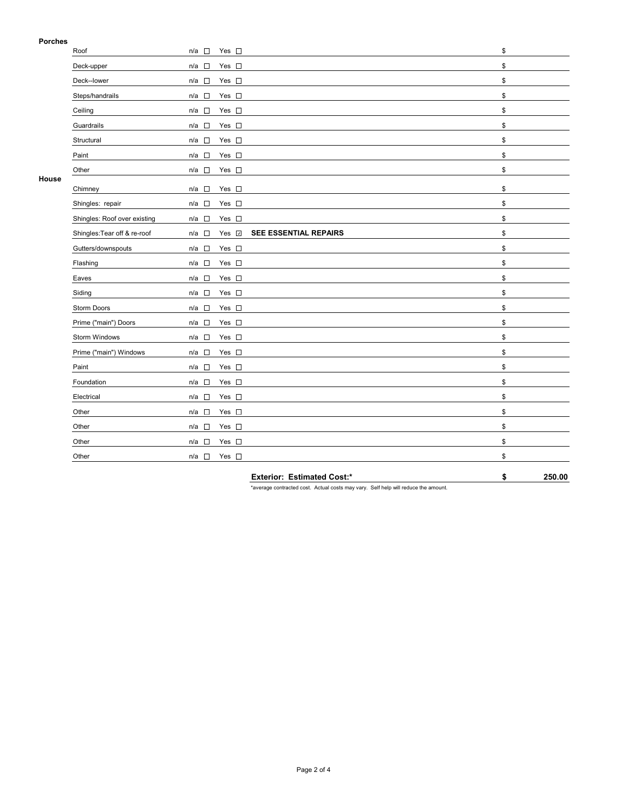## **Porches**

| PORCHES |                              |                                                                |    |
|---------|------------------------------|----------------------------------------------------------------|----|
|         | Roof                         | Yes $\square$<br>$n/a$ $\square$                               | \$ |
|         | Deck-upper                   | Yes $\square$<br>$n/a$ $\square$                               | \$ |
|         | Deck--lower                  | $n/a$ $\square$<br>Yes $\square$                               | \$ |
|         | Steps/handrails              | Yes $\square$<br>$n/a$ $\square$                               | \$ |
|         | Ceiling                      | $n/a$ $\square$<br>Yes $\square$                               | \$ |
|         | Guardrails                   | n/a<br>Yes $\square$                                           | \$ |
|         | Structural                   | $n/a$ $\square$<br>Yes $\square$                               | \$ |
|         | Paint                        | $\mathcal{L}_{\mathcal{A}}$<br>Yes $\square$<br>n/a            | \$ |
|         | Other                        | $n/a$ $\square$<br>Yes $\square$                               | \$ |
| House   | Chimney                      | Yes $\square$<br>$n/a$ $\square$                               | \$ |
|         | Shingles: repair             | $n/a$ $\square$<br>Yes $\square$                               | \$ |
|         | Shingles: Roof over existing | n/a<br>Yes $\square$                                           | \$ |
|         | Shingles: Tear off & re-roof | SEE ESSENTIAL REPAIRS<br>$n/a$ $\square$<br>Yes $\overline{v}$ | \$ |
|         | Gutters/downspouts           | $n/a$ $\square$<br>Yes $\square$                               | \$ |
|         | Flashing                     | $n/a$ $\square$<br>Yes $\square$                               | \$ |
|         | Eaves                        | $n/a$ $\square$<br>Yes $\square$                               | \$ |
|         | Siding                       | n/a<br>Yes $\square$                                           | \$ |
|         | Storm Doors                  | $n/a$ $\square$<br>Yes $\square$                               | \$ |
|         | Prime ("main") Doors         | Yes $\square$<br>$n/a$ $\square$                               | \$ |
|         | Storm Windows                | $\overline{a}$<br>Yes $\square$<br>n/a                         | \$ |
|         | Prime ("main") Windows       | Yes $\square$<br>$n/a$ $\square$                               | \$ |
|         | Paint                        | $n/a$ $\square$<br>Yes $\square$                               | \$ |
|         | Foundation                   | $n/a$ $\square$<br>Yes $\square$                               | \$ |
|         | Electrical                   | $\Box$<br>Yes $\square$<br>n/a                                 | \$ |
|         | Other                        | n/a<br>Yes $\square$                                           | \$ |
|         | Other                        | $\sim$<br>Yes $\square$<br>n/a                                 | \$ |
|         | Other                        | $n/a$ $\square$<br>Yes $\square$                               | \$ |
|         | Other                        | $n/a$ $\square$<br>Yes $\square$                               | \$ |
|         |                              |                                                                |    |

**Exterior: Estimated Cost:\* \$ 250.00**

\*average contracted cost. Actual costs may vary. Self help will reduce the amount.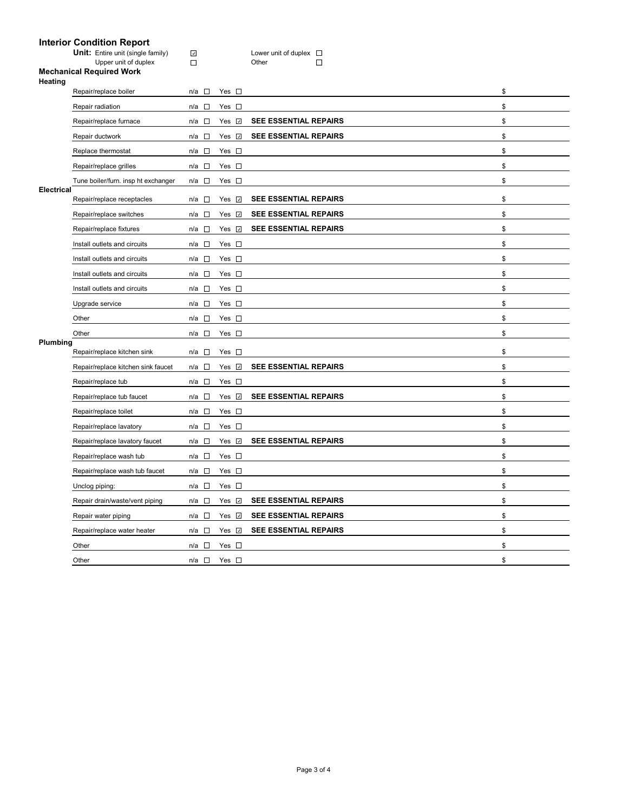## **Interior Condition Report**

**Unit:** Entire unit (single family)  $\Box$  **Lower unit of duplex** Upper unit of duplex **Definition** Other

#### **Mechanical Required Work Heating**

|                   | Repair/replace boiler               | $n/a$ $\square$                 | Yes $\square$   |                              | \$ |
|-------------------|-------------------------------------|---------------------------------|-----------------|------------------------------|----|
|                   | Repair radiation                    | $n/a$ $\square$                 | Yes $\square$   |                              | \$ |
|                   | Repair/replace furnace              | $\sim$<br>n/a                   | Yes<br>$\omega$ | <b>SEE ESSENTIAL REPAIRS</b> | \$ |
|                   | Repair ductwork                     | $\sim$<br>n/a                   | Yes <b>⊽</b>    | SEE ESSENTIAL REPAIRS        | \$ |
|                   | Replace thermostat                  | $n/a$ $\square$                 | Yes $\square$   |                              | \$ |
|                   | Repair/replace grilles              | $n/a$ $\square$                 | Yes $\square$   |                              | \$ |
|                   | Tune boiler/furn. insp ht exchanger | n/a □                           | Yes $\square$   |                              | \$ |
| <b>Electrical</b> | Repair/replace receptacles          | n/a $\square$                   | Yes $\sqrt{ }$  | <b>SEE ESSENTIAL REPAIRS</b> | \$ |
|                   | Repair/replace switches             | $n/a$ $\square$                 | Yes <b>v</b>    | SEE ESSENTIAL REPAIRS        | \$ |
|                   | Repair/replace fixtures             | n/a $\square$                   | Yes <b>☑</b>    | SEE ESSENTIAL REPAIRS        | \$ |
|                   | Install outlets and circuits        | $n/a$ $\square$                 | Yes $\square$   |                              | \$ |
|                   | Install outlets and circuits        | $n/a$ $\square$                 | Yes $\square$   |                              | \$ |
|                   | Install outlets and circuits        | $n/a$ $\square$                 | Yes $\square$   |                              | \$ |
|                   | Install outlets and circuits        | n/a □                           | Yes $\square$   |                              | \$ |
|                   | Upgrade service                     | n/a<br>$\overline{\phantom{a}}$ | Yes $\square$   |                              | \$ |
|                   | Other                               | $n/a$ $\square$                 | Yes $\square$   |                              | \$ |
|                   | Other                               | $n/a$ $\square$                 | Yes $\square$   |                              | \$ |
| Plumbing          | Repair/replace kitchen sink         | $n/a$ $\square$                 | Yes $\square$   |                              | \$ |
|                   | Repair/replace kitchen sink faucet  | $n/a$ $\square$                 | Yes <b>☑</b>    | <b>SEE ESSENTIAL REPAIRS</b> | \$ |
|                   | Repair/replace tub                  | $\sim 10$<br>n/a                | Yes<br>$\Box$   |                              | \$ |
|                   | Repair/replace tub faucet           | $n/a$ $\square$                 | Yes $\sqrt{2}$  | <b>SEE ESSENTIAL REPAIRS</b> | \$ |
|                   | Repair/replace toilet               | $n/a$ $\square$                 | Yes $\square$   |                              | \$ |
|                   | Repair/replace lavatory             | n/a<br>$\sim$                   | Yes $\square$   |                              | \$ |
|                   | Repair/replace lavatory faucet      | $n/a$ $\square$                 | Yes <b>☑</b>    | SEE ESSENTIAL REPAIRS        | \$ |
|                   | Repair/replace wash tub             | $n/a$ $\square$                 | Yes $\square$   |                              | \$ |
|                   | Repair/replace wash tub faucet      | n/a<br><b>D</b>                 | Yes $\square$   |                              | \$ |
|                   | Unclog piping:                      | $n/a$ $\square$                 | Yes $\square$   |                              | \$ |
|                   | Repair drain/waste/vent piping      | $n/a$ $\square$                 | Yes <b>☑</b>    | <b>SEE ESSENTIAL REPAIRS</b> | \$ |
|                   | Repair water piping                 | $n/a$ $\square$                 | Yes $\sqrt{ }$  | <b>SEE ESSENTIAL REPAIRS</b> | \$ |
|                   | Repair/replace water heater         | n/a □                           | Yes <b>☑</b>    | <b>SEE ESSENTIAL REPAIRS</b> | \$ |
|                   | Other                               | $\sim$<br>n/a                   | Yes $\square$   |                              | \$ |
|                   |                                     |                                 |                 |                              |    |